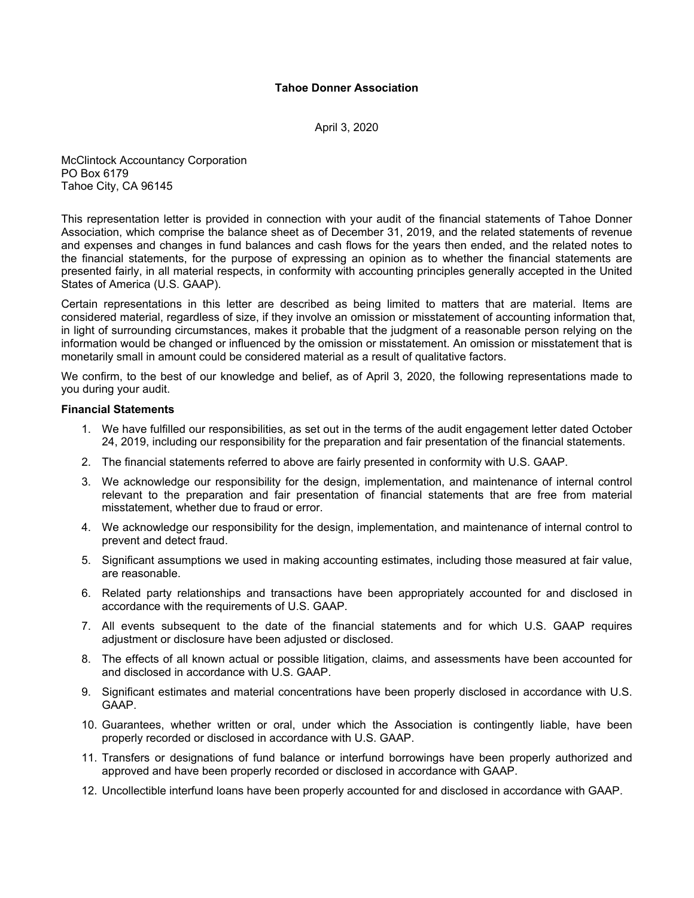## **Tahoe Donner Association**

April 3, 2020

McClintock Accountancy Corporation PO Box 6179 Tahoe City, CA 96145

This representation letter is provided in connection with your audit of the financial statements of Tahoe Donner Association, which comprise the balance sheet as of December 31, 2019, and the related statements of revenue and expenses and changes in fund balances and cash flows for the years then ended, and the related notes to the financial statements, for the purpose of expressing an opinion as to whether the financial statements are presented fairly, in all material respects, in conformity with accounting principles generally accepted in the United States of America (U.S. GAAP).

Certain representations in this letter are described as being limited to matters that are material. Items are considered material, regardless of size, if they involve an omission or misstatement of accounting information that, in light of surrounding circumstances, makes it probable that the judgment of a reasonable person relying on the information would be changed or influenced by the omission or misstatement. An omission or misstatement that is monetarily small in amount could be considered material as a result of qualitative factors.

We confirm, to the best of our knowledge and belief, as of April 3, 2020, the following representations made to you during your audit.

## **Financial Statements**

- 1. We have fulfilled our responsibilities, as set out in the terms of the audit engagement letter dated October 24, 2019, including our responsibility for the preparation and fair presentation of the financial statements.
- 2. The financial statements referred to above are fairly presented in conformity with U.S. GAAP.
- 3. We acknowledge our responsibility for the design, implementation, and maintenance of internal control relevant to the preparation and fair presentation of financial statements that are free from material misstatement, whether due to fraud or error.
- 4. We acknowledge our responsibility for the design, implementation, and maintenance of internal control to prevent and detect fraud.
- 5. Significant assumptions we used in making accounting estimates, including those measured at fair value, are reasonable.
- 6. Related party relationships and transactions have been appropriately accounted for and disclosed in accordance with the requirements of U.S. GAAP.
- 7. All events subsequent to the date of the financial statements and for which U.S. GAAP requires adjustment or disclosure have been adjusted or disclosed.
- 8. The effects of all known actual or possible litigation, claims, and assessments have been accounted for and disclosed in accordance with U.S. GAAP.
- 9. Significant estimates and material concentrations have been properly disclosed in accordance with U.S. GAAP.
- 10. Guarantees, whether written or oral, under which the Association is contingently liable, have been properly recorded or disclosed in accordance with U.S. GAAP.
- 11. Transfers or designations of fund balance or interfund borrowings have been properly authorized and approved and have been properly recorded or disclosed in accordance with GAAP.
- 12. Uncollectible interfund loans have been properly accounted for and disclosed in accordance with GAAP.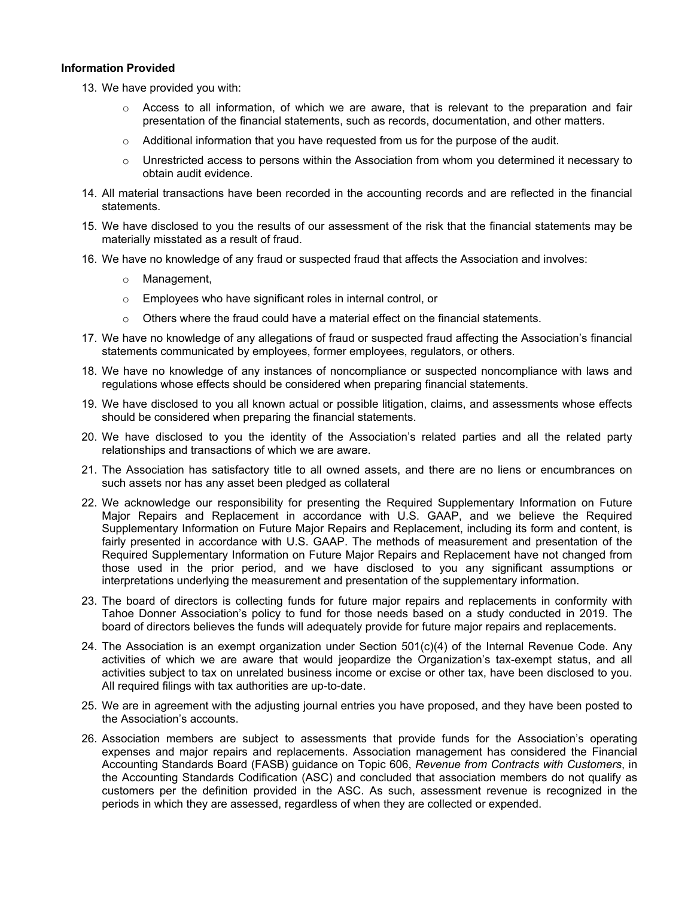## **Information Provided**

- 13. We have provided you with:
	- $\circ$  Access to all information, of which we are aware, that is relevant to the preparation and fair presentation of the financial statements, such as records, documentation, and other matters.
	- $\circ$  Additional information that you have requested from us for the purpose of the audit.
	- $\circ$  Unrestricted access to persons within the Association from whom you determined it necessary to obtain audit evidence.
- 14. All material transactions have been recorded in the accounting records and are reflected in the financial statements.
- 15. We have disclosed to you the results of our assessment of the risk that the financial statements may be materially misstated as a result of fraud.
- 16. We have no knowledge of any fraud or suspected fraud that affects the Association and involves:
	- o Management,
	- o Employees who have significant roles in internal control, or
	- $\circ$  Others where the fraud could have a material effect on the financial statements.
- 17. We have no knowledge of any allegations of fraud or suspected fraud affecting the Association's financial statements communicated by employees, former employees, regulators, or others.
- 18. We have no knowledge of any instances of noncompliance or suspected noncompliance with laws and regulations whose effects should be considered when preparing financial statements.
- 19. We have disclosed to you all known actual or possible litigation, claims, and assessments whose effects should be considered when preparing the financial statements.
- 20. We have disclosed to you the identity of the Association's related parties and all the related party relationships and transactions of which we are aware.
- 21. The Association has satisfactory title to all owned assets, and there are no liens or encumbrances on such assets nor has any asset been pledged as collateral
- 22. We acknowledge our responsibility for presenting the Required Supplementary Information on Future Major Repairs and Replacement in accordance with U.S. GAAP, and we believe the Required Supplementary Information on Future Major Repairs and Replacement, including its form and content, is fairly presented in accordance with U.S. GAAP. The methods of measurement and presentation of the Required Supplementary Information on Future Major Repairs and Replacement have not changed from those used in the prior period, and we have disclosed to you any significant assumptions or interpretations underlying the measurement and presentation of the supplementary information.
- 23. The board of directors is collecting funds for future major repairs and replacements in conformity with Tahoe Donner Association's policy to fund for those needs based on a study conducted in 2019. The board of directors believes the funds will adequately provide for future major repairs and replacements.
- 24. The Association is an exempt organization under Section 501(c)(4) of the Internal Revenue Code. Any activities of which we are aware that would jeopardize the Organization's tax-exempt status, and all activities subject to tax on unrelated business income or excise or other tax, have been disclosed to you. All required filings with tax authorities are up-to-date.
- 25. We are in agreement with the adjusting journal entries you have proposed, and they have been posted to the Association's accounts.
- 26. Association members are subject to assessments that provide funds for the Association's operating expenses and major repairs and replacements. Association management has considered the Financial Accounting Standards Board (FASB) guidance on Topic 606, *Revenue from Contracts with Customers*, in the Accounting Standards Codification (ASC) and concluded that association members do not qualify as customers per the definition provided in the ASC. As such, assessment revenue is recognized in the periods in which they are assessed, regardless of when they are collected or expended.